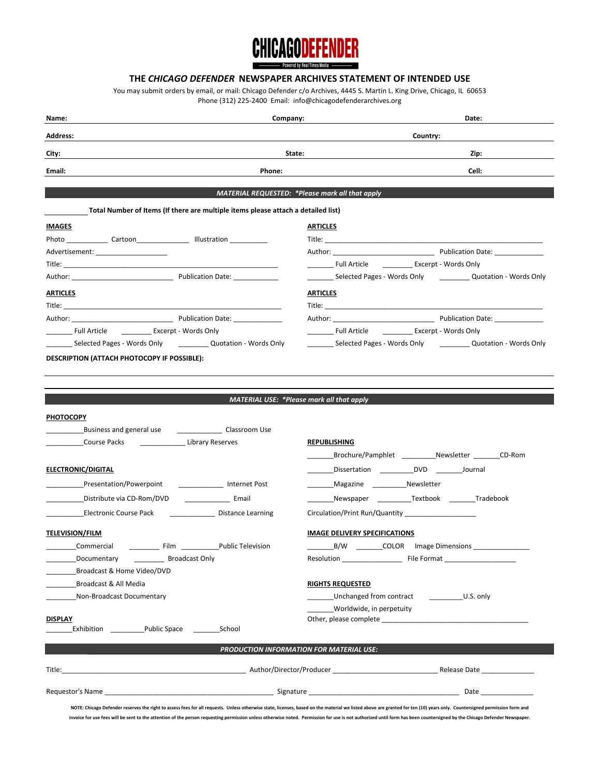# **CHICAGODEFENDER**

# **THE** *CHICAGO DEFENDER* **NEWSPAPER ARCHIVES STATEMENT OF INTENDED USE**

You may submit orders by email, or mail: Chicago Defender c/o Archives, 4445 S. Martin L. King Drive, Chicago, IL 60653 Phone (312) 225-2400 Email: info@chicagodefenderarchives.org

| Name:<br>Company:                                                                                  | Date:                                                                                                                                                                                                                                                      |  |
|----------------------------------------------------------------------------------------------------|------------------------------------------------------------------------------------------------------------------------------------------------------------------------------------------------------------------------------------------------------------|--|
| <b>Address:</b>                                                                                    | Country:                                                                                                                                                                                                                                                   |  |
| City:                                                                                              | State:<br>Zip:                                                                                                                                                                                                                                             |  |
| Email:<br>Phone:                                                                                   | Cell:                                                                                                                                                                                                                                                      |  |
|                                                                                                    |                                                                                                                                                                                                                                                            |  |
|                                                                                                    | MATERIAL REQUESTED: * Please mark all that apply                                                                                                                                                                                                           |  |
| Total Number of Items (If there are multiple items please attach a detailed list)<br><b>IMAGES</b> | <b>ARTICLES</b>                                                                                                                                                                                                                                            |  |
| Photo Cartoon Illustration                                                                         | Title: <u>__________________________________</u>                                                                                                                                                                                                           |  |
| Advertisement: ____________________                                                                | Author: 2008 - 2009 Publication Date: 2009 Publication Date:                                                                                                                                                                                               |  |
|                                                                                                    | Full Article ____________ Excerpt - Words Only                                                                                                                                                                                                             |  |
|                                                                                                    | _______ Selected Pages - Words Only ____________ Quotation - Words Only                                                                                                                                                                                    |  |
| <b>ARTICLES</b>                                                                                    | <b>ARTICLES</b>                                                                                                                                                                                                                                            |  |
|                                                                                                    |                                                                                                                                                                                                                                                            |  |
|                                                                                                    |                                                                                                                                                                                                                                                            |  |
|                                                                                                    | Full Article <b>Excerpt</b> - Words Only                                                                                                                                                                                                                   |  |
|                                                                                                    | Selected Pages - Words Only <b>Selected Pages - Words Only</b>                                                                                                                                                                                             |  |
|                                                                                                    | <b>MATERIAL USE: *Please mark all that apply</b>                                                                                                                                                                                                           |  |
| <b>PHOTOCOPY</b>                                                                                   |                                                                                                                                                                                                                                                            |  |
| Business and general use _______________________ Classroom Use                                     |                                                                                                                                                                                                                                                            |  |
| Course Packs<br>Library Reserves                                                                   | <b>REPUBLISHING</b>                                                                                                                                                                                                                                        |  |
|                                                                                                    | Brochure/Pamphlet Newsletter CD-Rom                                                                                                                                                                                                                        |  |
| <b>ELECTRONIC/DIGITAL</b>                                                                          | Dissertation ______________DVD ___________Journal                                                                                                                                                                                                          |  |
| Presentation/Powerpoint<br>Internet Post                                                           | <b>Contract</b>                                                                                                                                                                                                                                            |  |
| Distribute via CD-Rom/DVD<br><b>Email</b>                                                          | Newspaper Textbook Tradebook                                                                                                                                                                                                                               |  |
| Electronic Course Pack<br>Distance Learning                                                        | Circulation/Print Run/Quantity                                                                                                                                                                                                                             |  |
| <b>TELEVISION/FILM</b>                                                                             | <b>IMAGE DELIVERY SPECIFICATIONS</b>                                                                                                                                                                                                                       |  |
| Commercial<br>Film $\qquad$<br>Public Television                                                   | _B/W ___________COLOR lmage Dimensions _                                                                                                                                                                                                                   |  |
| Documentary<br>Broadcast Only                                                                      |                                                                                                                                                                                                                                                            |  |
| Broadcast & Home Video/DVD                                                                         |                                                                                                                                                                                                                                                            |  |
| Broadcast & All Media                                                                              | <b>RIGHTS REQUESTED</b>                                                                                                                                                                                                                                    |  |
| Non-Broadcast Documentary                                                                          | Unchanged from contract ________________________ U.S. only                                                                                                                                                                                                 |  |
| <b>DISPLAY</b>                                                                                     | Worldwide, in perpetuity<br>Other, please complete example to the control of the control of the control of the control of the control of the control of the control of the control of the control of the control of the control of the control of the cont |  |
| Exhibition Public Space<br>School                                                                  |                                                                                                                                                                                                                                                            |  |
|                                                                                                    | PRODUCTION INFORMATION FOR MATERIAL USE:                                                                                                                                                                                                                   |  |
| Title:                                                                                             |                                                                                                                                                                                                                                                            |  |
|                                                                                                    |                                                                                                                                                                                                                                                            |  |
|                                                                                                    | NOTE: Chicago Defender reserves the right to assess fees for all requests. Unless otherwise state, licenses, based on the material we listed above are granted for ten (10) years only. Countersigned permission form and                                  |  |

**invoice for use fees will be sent to the attention of the person requesting permission unless otherwise noted. Permission for use is not authorized until form has been countersigned by the Chicago Defender Newspaper.**